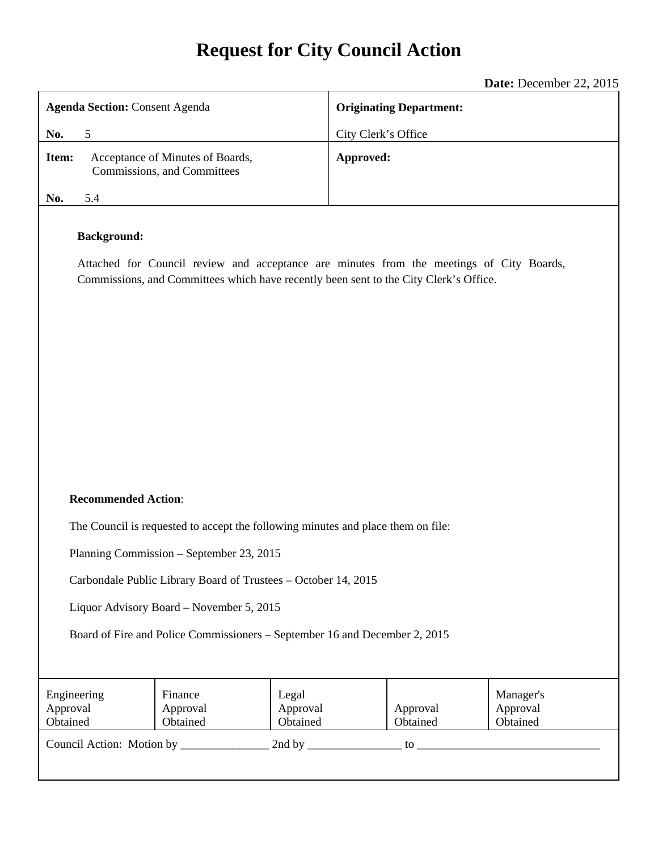# **Request for City Council Action**

|                                                                                                                                                                                                         | Date: December 22, 2015        |  |
|---------------------------------------------------------------------------------------------------------------------------------------------------------------------------------------------------------|--------------------------------|--|
| <b>Agenda Section: Consent Agenda</b>                                                                                                                                                                   | <b>Originating Department:</b> |  |
| No.<br>5                                                                                                                                                                                                | City Clerk's Office            |  |
| Acceptance of Minutes of Boards,<br>Item:<br>Commissions, and Committees                                                                                                                                | Approved:                      |  |
| 5.4<br>No.                                                                                                                                                                                              |                                |  |
| <b>Background:</b><br>Attached for Council review and acceptance are minutes from the meetings of City Boards,<br>Commissions, and Committees which have recently been sent to the City Clerk's Office. |                                |  |
| <b>Recommended Action:</b>                                                                                                                                                                              |                                |  |
| The Council is requested to accept the following minutes and place them on file:                                                                                                                        |                                |  |

Planning Commission – September 23, 2015

Carbondale Public Library Board of Trustees – October 14, 2015

Liquor Advisory Board – November 5, 2015

Board of Fire and Police Commissioners – September 16 and December 2, 2015

| Engineering<br>Approval<br>Obtained | Finance<br>Approval<br>Obtained | Legal<br>Approval<br>Obtained | Approval<br>Obtained | Manager's<br>Approval<br>Obtained |
|-------------------------------------|---------------------------------|-------------------------------|----------------------|-----------------------------------|
| Council Action: Motion by           |                                 | 2nd by                        | tΩ                   |                                   |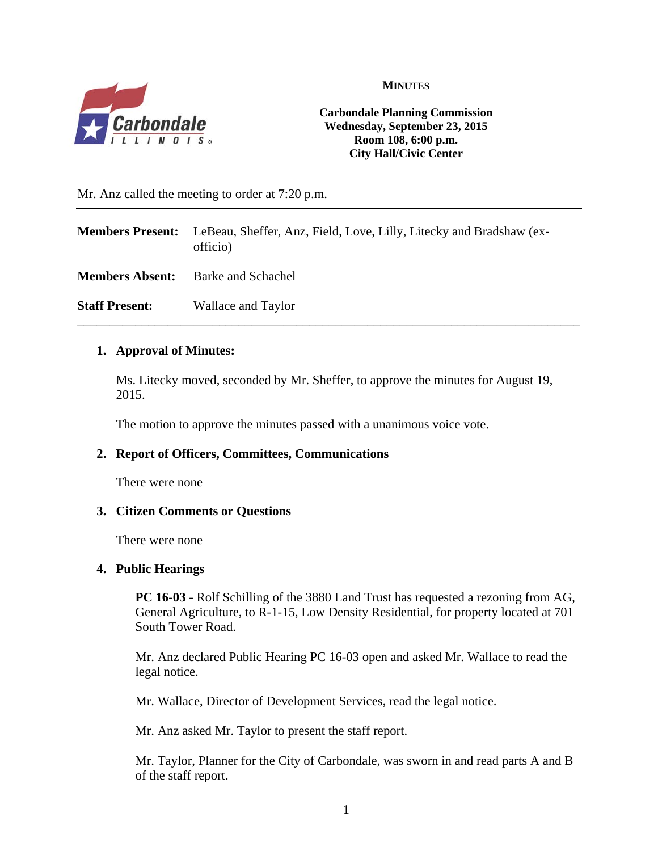

**MINUTES**

**Carbondale Planning Commission Wednesday, September 23, 2015 Room 108, 6:00 p.m. City Hall/Civic Center** 

Mr. Anz called the meeting to order at 7:20 p.m.

|                        | <b>Members Present:</b> LeBeau, Sheffer, Anz, Field, Love, Lilly, Litecky and Bradshaw (ex-<br>officio) |
|------------------------|---------------------------------------------------------------------------------------------------------|
| <b>Members Absent:</b> | <b>Barke and Schachel</b>                                                                               |
| <b>Staff Present:</b>  | Wallace and Taylor                                                                                      |

#### **1. Approval of Minutes:**

Ms. Litecky moved, seconded by Mr. Sheffer, to approve the minutes for August 19, 2015.

The motion to approve the minutes passed with a unanimous voice vote.

#### **2. Report of Officers, Committees, Communications**

There were none

#### **3. Citizen Comments or Questions**

There were none

#### **4. Public Hearings**

**PC 16-03 -** Rolf Schilling of the 3880 Land Trust has requested a rezoning from AG, General Agriculture, to R-1-15, Low Density Residential, for property located at 701 South Tower Road.

Mr. Anz declared Public Hearing PC 16-03 open and asked Mr. Wallace to read the legal notice.

Mr. Wallace, Director of Development Services, read the legal notice.

Mr. Anz asked Mr. Taylor to present the staff report.

Mr. Taylor, Planner for the City of Carbondale, was sworn in and read parts A and B of the staff report.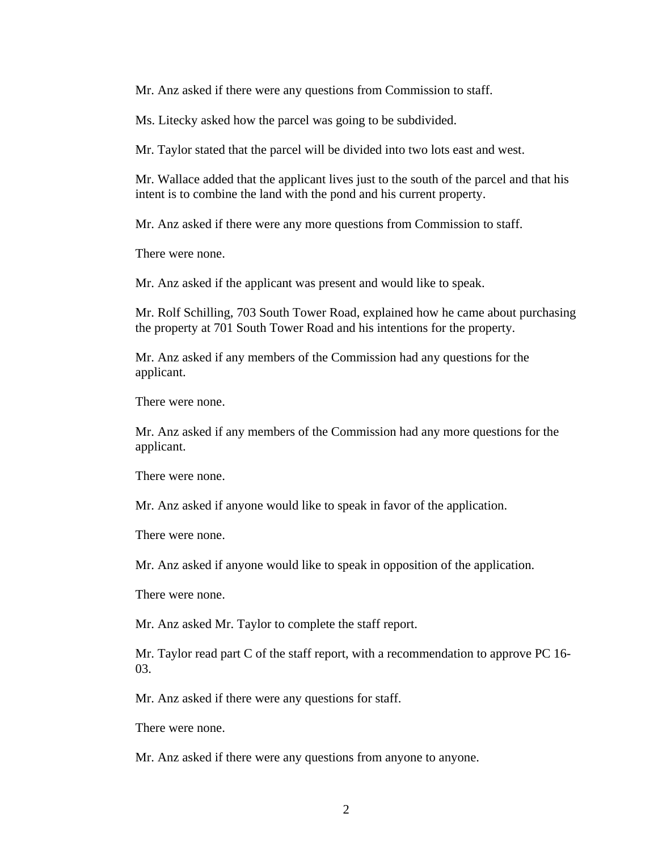Mr. Anz asked if there were any questions from Commission to staff.

Ms. Litecky asked how the parcel was going to be subdivided.

Mr. Taylor stated that the parcel will be divided into two lots east and west.

Mr. Wallace added that the applicant lives just to the south of the parcel and that his intent is to combine the land with the pond and his current property.

Mr. Anz asked if there were any more questions from Commission to staff.

There were none.

Mr. Anz asked if the applicant was present and would like to speak.

Mr. Rolf Schilling, 703 South Tower Road, explained how he came about purchasing the property at 701 South Tower Road and his intentions for the property.

Mr. Anz asked if any members of the Commission had any questions for the applicant.

There were none.

Mr. Anz asked if any members of the Commission had any more questions for the applicant.

There were none.

Mr. Anz asked if anyone would like to speak in favor of the application.

There were none.

Mr. Anz asked if anyone would like to speak in opposition of the application.

There were none.

Mr. Anz asked Mr. Taylor to complete the staff report.

Mr. Taylor read part C of the staff report, with a recommendation to approve PC 16- 03.

Mr. Anz asked if there were any questions for staff.

There were none.

Mr. Anz asked if there were any questions from anyone to anyone.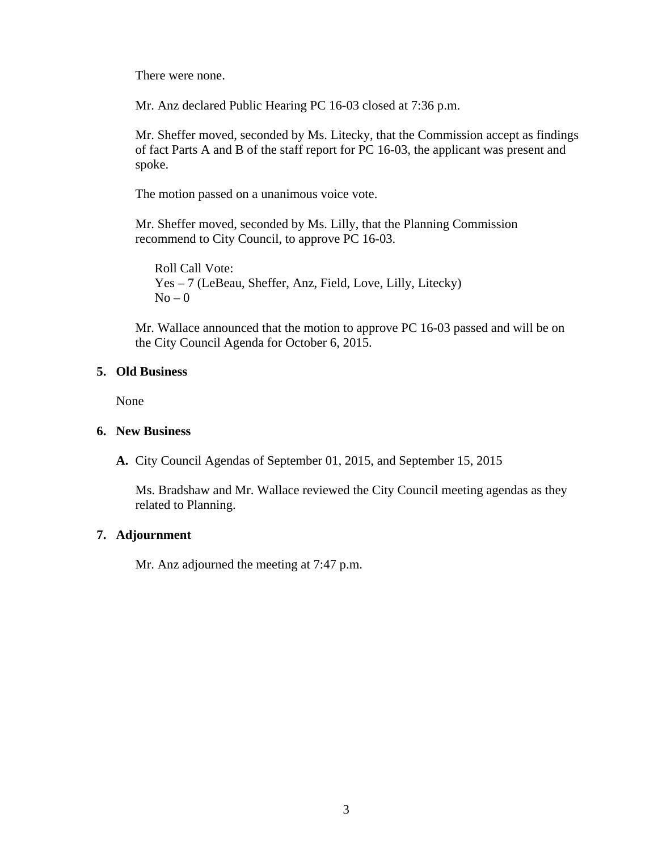There were none.

Mr. Anz declared Public Hearing PC 16-03 closed at 7:36 p.m.

Mr. Sheffer moved, seconded by Ms. Litecky, that the Commission accept as findings of fact Parts A and B of the staff report for PC 16-03, the applicant was present and spoke.

The motion passed on a unanimous voice vote.

Mr. Sheffer moved, seconded by Ms. Lilly, that the Planning Commission recommend to City Council, to approve PC 16-03.

Roll Call Vote: Yes – 7 (LeBeau, Sheffer, Anz, Field, Love, Lilly, Litecky)  $No - 0$ 

Mr. Wallace announced that the motion to approve PC 16-03 passed and will be on the City Council Agenda for October 6, 2015.

#### **5. Old Business**

None

#### **6. New Business**

**A.** City Council Agendas of September 01, 2015, and September 15, 2015

Ms. Bradshaw and Mr. Wallace reviewed the City Council meeting agendas as they related to Planning.

## **7. Adjournment**

Mr. Anz adjourned the meeting at 7:47 p.m.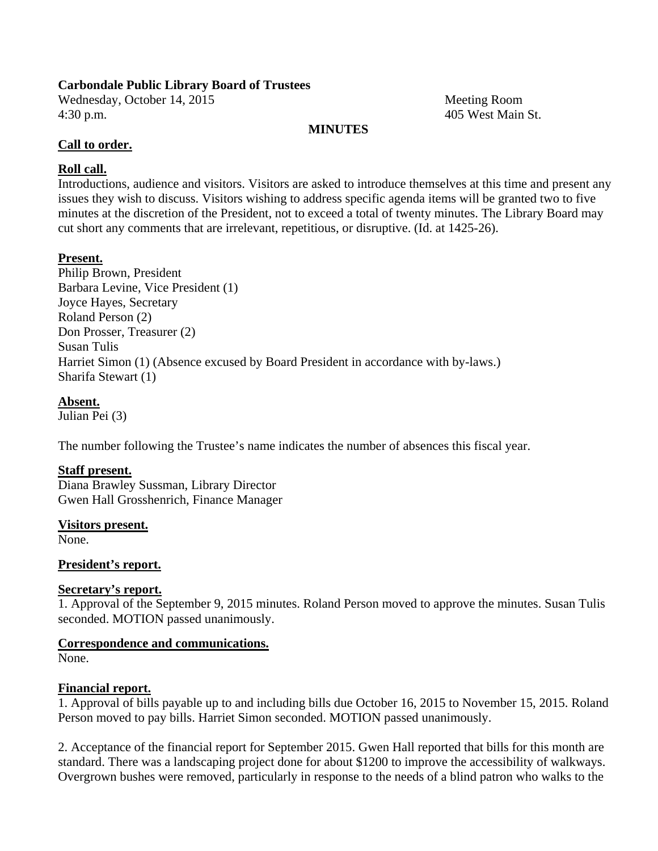#### **Carbondale Public Library Board of Trustees**

Wednesday, October 14, 2015 Meeting Room 4:30 p.m. 405 West Main St.

#### **MINUTES**

## **Call to order.**

# **Roll call.**

Introductions, audience and visitors. Visitors are asked to introduce themselves at this time and present any issues they wish to discuss. Visitors wishing to address specific agenda items will be granted two to five minutes at the discretion of the President, not to exceed a total of twenty minutes. The Library Board may cut short any comments that are irrelevant, repetitious, or disruptive. (Id. at 1425-26).

## **Present.**

Philip Brown, President Barbara Levine, Vice President (1) Joyce Hayes, Secretary Roland Person (2) Don Prosser, Treasurer (2) Susan Tulis Harriet Simon (1) (Absence excused by Board President in accordance with by-laws.) Sharifa Stewart (1)

## **Absent.**

Julian Pei (3)

The number following the Trustee's name indicates the number of absences this fiscal year.

## **Staff present.**

Diana Brawley Sussman, Library Director Gwen Hall Grosshenrich, Finance Manager

**Visitors present.** 

None.

## **President's report.**

## **Secretary's report.**

1. Approval of the September 9, 2015 minutes. Roland Person moved to approve the minutes. Susan Tulis seconded. MOTION passed unanimously.

## **Correspondence and communications.**

None.

## **Financial report.**

1. Approval of bills payable up to and including bills due October 16, 2015 to November 15, 2015. Roland Person moved to pay bills. Harriet Simon seconded. MOTION passed unanimously.

2. Acceptance of the financial report for September 2015. Gwen Hall reported that bills for this month are standard. There was a landscaping project done for about \$1200 to improve the accessibility of walkways. Overgrown bushes were removed, particularly in response to the needs of a blind patron who walks to the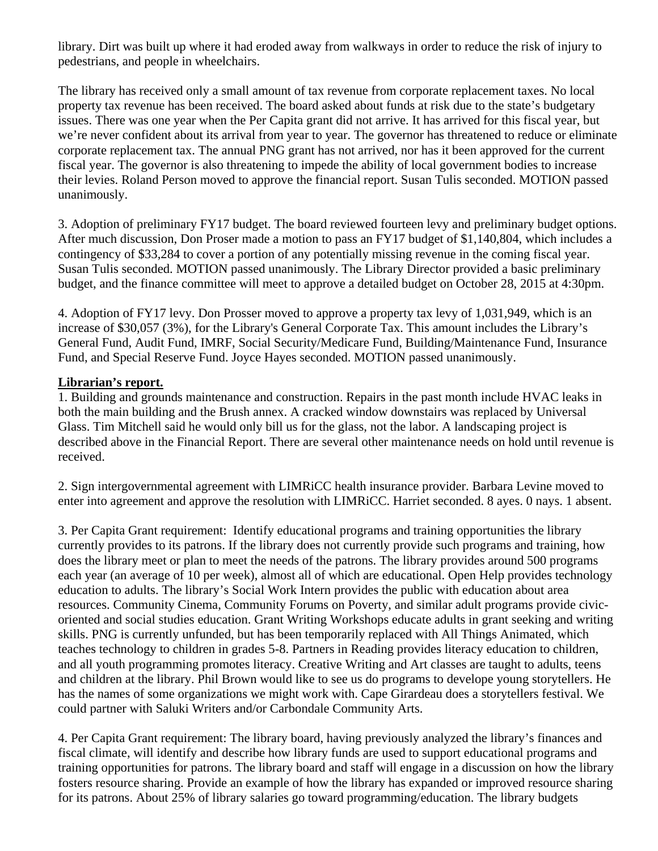library. Dirt was built up where it had eroded away from walkways in order to reduce the risk of injury to pedestrians, and people in wheelchairs.

The library has received only a small amount of tax revenue from corporate replacement taxes. No local property tax revenue has been received. The board asked about funds at risk due to the state's budgetary issues. There was one year when the Per Capita grant did not arrive. It has arrived for this fiscal year, but we're never confident about its arrival from year to year. The governor has threatened to reduce or eliminate corporate replacement tax. The annual PNG grant has not arrived, nor has it been approved for the current fiscal year. The governor is also threatening to impede the ability of local government bodies to increase their levies. Roland Person moved to approve the financial report. Susan Tulis seconded. MOTION passed unanimously.

3. Adoption of preliminary FY17 budget. The board reviewed fourteen levy and preliminary budget options. After much discussion, Don Proser made a motion to pass an FY17 budget of \$1,140,804, which includes a contingency of \$33,284 to cover a portion of any potentially missing revenue in the coming fiscal year. Susan Tulis seconded. MOTION passed unanimously. The Library Director provided a basic preliminary budget, and the finance committee will meet to approve a detailed budget on October 28, 2015 at 4:30pm.

4. Adoption of FY17 levy. Don Prosser moved to approve a property tax levy of 1,031,949, which is an increase of \$30,057 (3%), for the Library's General Corporate Tax. This amount includes the Library's General Fund, Audit Fund, IMRF, Social Security/Medicare Fund, Building/Maintenance Fund, Insurance Fund, and Special Reserve Fund. Joyce Hayes seconded. MOTION passed unanimously.

#### **Librarian's report.**

1. Building and grounds maintenance and construction. Repairs in the past month include HVAC leaks in both the main building and the Brush annex. A cracked window downstairs was replaced by Universal Glass. Tim Mitchell said he would only bill us for the glass, not the labor. A landscaping project is described above in the Financial Report. There are several other maintenance needs on hold until revenue is received.

2. Sign intergovernmental agreement with LIMRiCC health insurance provider. Barbara Levine moved to enter into agreement and approve the resolution with LIMRiCC. Harriet seconded. 8 ayes. 0 nays. 1 absent.

3. Per Capita Grant requirement: Identify educational programs and training opportunities the library currently provides to its patrons. If the library does not currently provide such programs and training, how does the library meet or plan to meet the needs of the patrons. The library provides around 500 programs each year (an average of 10 per week), almost all of which are educational. Open Help provides technology education to adults. The library's Social Work Intern provides the public with education about area resources. Community Cinema, Community Forums on Poverty, and similar adult programs provide civicoriented and social studies education. Grant Writing Workshops educate adults in grant seeking and writing skills. PNG is currently unfunded, but has been temporarily replaced with All Things Animated, which teaches technology to children in grades 5-8. Partners in Reading provides literacy education to children, and all youth programming promotes literacy. Creative Writing and Art classes are taught to adults, teens and children at the library. Phil Brown would like to see us do programs to develope young storytellers. He has the names of some organizations we might work with. Cape Girardeau does a storytellers festival. We could partner with Saluki Writers and/or Carbondale Community Arts.

4. Per Capita Grant requirement: The library board, having previously analyzed the library's finances and fiscal climate, will identify and describe how library funds are used to support educational programs and training opportunities for patrons. The library board and staff will engage in a discussion on how the library fosters resource sharing. Provide an example of how the library has expanded or improved resource sharing for its patrons. About 25% of library salaries go toward programming/education. The library budgets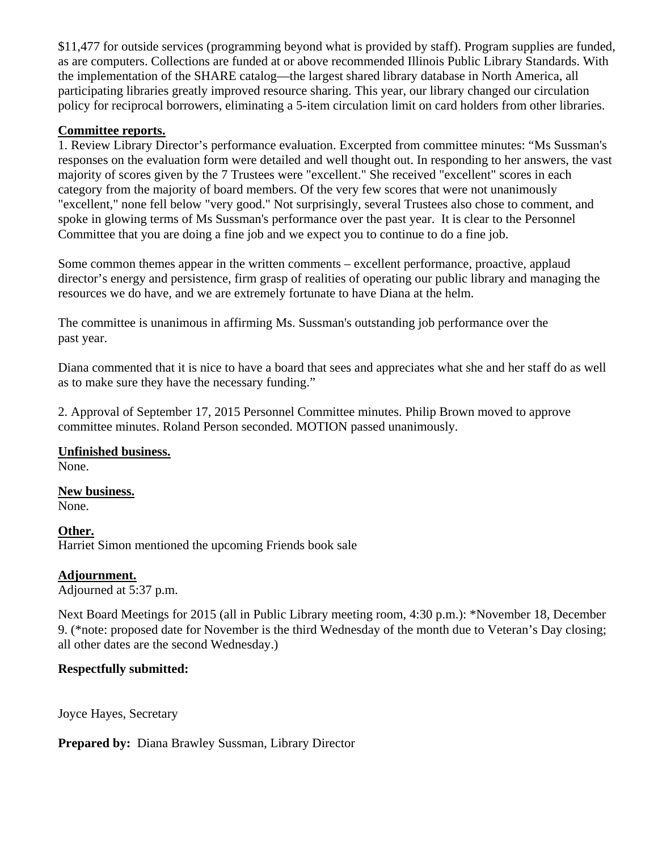\$11,477 for outside services (programming beyond what is provided by staff). Program supplies are funded, as are computers. Collections are funded at or above recommended Illinois Public Library Standards. With the implementation of the SHARE catalog—the largest shared library database in North America, all participating libraries greatly improved resource sharing. This year, our library changed our circulation policy for reciprocal borrowers, eliminating a 5-item circulation limit on card holders from other libraries.

#### **Committee reports.**

1. Review Library Director's performance evaluation. Excerpted from committee minutes: "Ms Sussman's responses on the evaluation form were detailed and well thought out. In responding to her answers, the vast majority of scores given by the 7 Trustees were "excellent." She received "excellent" scores in each category from the majority of board members. Of the very few scores that were not unanimously "excellent," none fell below "very good." Not surprisingly, several Trustees also chose to comment, and spoke in glowing terms of Ms Sussman's performance over the past year. It is clear to the Personnel Committee that you are doing a fine job and we expect you to continue to do a fine job.

Some common themes appear in the written comments – excellent performance, proactive, applaud director's energy and persistence, firm grasp of realities of operating our public library and managing the resources we do have, and we are extremely fortunate to have Diana at the helm.

The committee is unanimous in affirming Ms. Sussman's outstanding job performance over the past year.

Diana commented that it is nice to have a board that sees and appreciates what she and her staff do as well as to make sure they have the necessary funding."

2. Approval of September 17, 2015 Personnel Committee minutes. Philip Brown moved to approve committee minutes. Roland Person seconded. MOTION passed unanimously.

**Unfinished business.**  None.

**New business.**  None.

**Other.**  Harriet Simon mentioned the upcoming Friends book sale

#### **Adjournment.**

Adjourned at 5:37 p.m.

Next Board Meetings for 2015 (all in Public Library meeting room, 4:30 p.m.): \*November 18, December 9. (\*note: proposed date for November is the third Wednesday of the month due to Veteran's Day closing; all other dates are the second Wednesday.)

## **Respectfully submitted:**

Joyce Hayes, Secretary

**Prepared by:** Diana Brawley Sussman, Library Director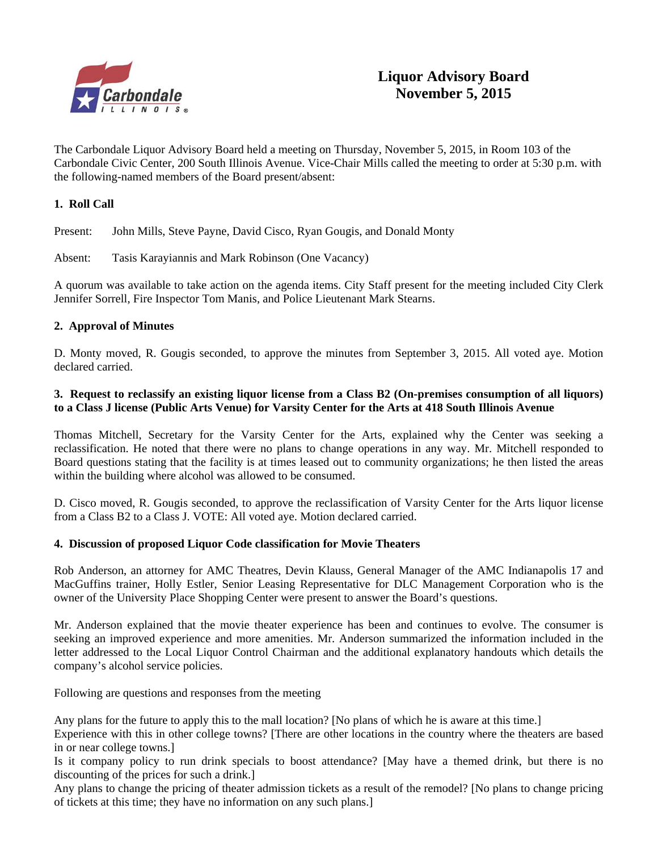

# **Liquor Advisory Board November 5, 2015**

The Carbondale Liquor Advisory Board held a meeting on Thursday, November 5, 2015, in Room 103 of the Carbondale Civic Center, 200 South Illinois Avenue. Vice-Chair Mills called the meeting to order at 5:30 p.m. with the following-named members of the Board present/absent:

#### **1. Roll Call**

Present: John Mills, Steve Payne, David Cisco, Ryan Gougis, and Donald Monty

Absent: Tasis Karayiannis and Mark Robinson (One Vacancy)

A quorum was available to take action on the agenda items. City Staff present for the meeting included City Clerk Jennifer Sorrell, Fire Inspector Tom Manis, and Police Lieutenant Mark Stearns.

#### **2. Approval of Minutes**

D. Monty moved, R. Gougis seconded, to approve the minutes from September 3, 2015. All voted aye. Motion declared carried.

#### **3. Request to reclassify an existing liquor license from a Class B2 (On-premises consumption of all liquors) to a Class J license (Public Arts Venue) for Varsity Center for the Arts at 418 South Illinois Avenue**

Thomas Mitchell, Secretary for the Varsity Center for the Arts, explained why the Center was seeking a reclassification. He noted that there were no plans to change operations in any way. Mr. Mitchell responded to Board questions stating that the facility is at times leased out to community organizations; he then listed the areas within the building where alcohol was allowed to be consumed.

D. Cisco moved, R. Gougis seconded, to approve the reclassification of Varsity Center for the Arts liquor license from a Class B2 to a Class J. VOTE: All voted aye. Motion declared carried.

#### **4. Discussion of proposed Liquor Code classification for Movie Theaters**

Rob Anderson, an attorney for AMC Theatres, Devin Klauss, General Manager of the AMC Indianapolis 17 and MacGuffins trainer, Holly Estler, Senior Leasing Representative for DLC Management Corporation who is the owner of the University Place Shopping Center were present to answer the Board's questions.

Mr. Anderson explained that the movie theater experience has been and continues to evolve. The consumer is seeking an improved experience and more amenities. Mr. Anderson summarized the information included in the letter addressed to the Local Liquor Control Chairman and the additional explanatory handouts which details the company's alcohol service policies.

Following are questions and responses from the meeting

Any plans for the future to apply this to the mall location? [No plans of which he is aware at this time.]

Experience with this in other college towns? [There are other locations in the country where the theaters are based in or near college towns.]

Is it company policy to run drink specials to boost attendance? [May have a themed drink, but there is no discounting of the prices for such a drink.]

Any plans to change the pricing of theater admission tickets as a result of the remodel? [No plans to change pricing of tickets at this time; they have no information on any such plans.]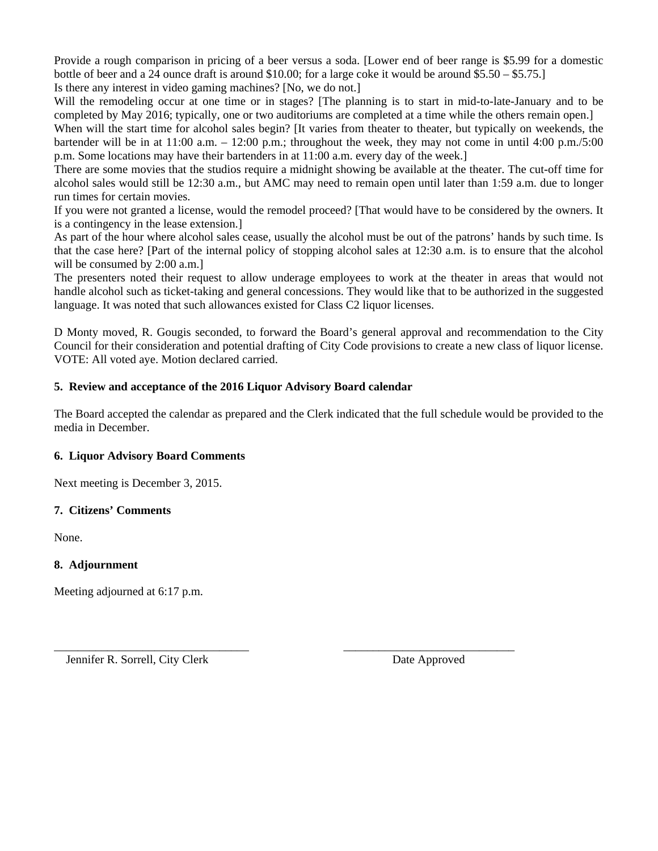Provide a rough comparison in pricing of a beer versus a soda. [Lower end of beer range is \$5.99 for a domestic bottle of beer and a 24 ounce draft is around \$10.00; for a large coke it would be around \$5.50 – \$5.75.]

Is there any interest in video gaming machines? [No, we do not.]

Will the remodeling occur at one time or in stages? [The planning is to start in mid-to-late-January and to be completed by May 2016; typically, one or two auditoriums are completed at a time while the others remain open.]

When will the start time for alcohol sales begin? [It varies from theater to theater, but typically on weekends, the bartender will be in at 11:00 a.m. – 12:00 p.m.; throughout the week, they may not come in until 4:00 p.m./5:00 p.m. Some locations may have their bartenders in at 11:00 a.m. every day of the week.]

There are some movies that the studios require a midnight showing be available at the theater. The cut-off time for alcohol sales would still be 12:30 a.m., but AMC may need to remain open until later than 1:59 a.m. due to longer run times for certain movies.

If you were not granted a license, would the remodel proceed? [That would have to be considered by the owners. It is a contingency in the lease extension.]

As part of the hour where alcohol sales cease, usually the alcohol must be out of the patrons' hands by such time. Is that the case here? [Part of the internal policy of stopping alcohol sales at 12:30 a.m. is to ensure that the alcohol will be consumed by 2:00 a.m.]

The presenters noted their request to allow underage employees to work at the theater in areas that would not handle alcohol such as ticket-taking and general concessions. They would like that to be authorized in the suggested language. It was noted that such allowances existed for Class C2 liquor licenses.

D Monty moved, R. Gougis seconded, to forward the Board's general approval and recommendation to the City Council for their consideration and potential drafting of City Code provisions to create a new class of liquor license. VOTE: All voted aye. Motion declared carried.

#### **5. Review and acceptance of the 2016 Liquor Advisory Board calendar**

The Board accepted the calendar as prepared and the Clerk indicated that the full schedule would be provided to the media in December.

\_\_\_\_\_\_\_\_\_\_\_\_\_\_\_\_\_\_\_\_\_\_\_\_\_\_\_\_\_\_\_\_\_ \_\_\_\_\_\_\_\_\_\_\_\_\_\_\_\_\_\_\_\_\_\_\_\_\_\_\_\_\_

#### **6. Liquor Advisory Board Comments**

Next meeting is December 3, 2015.

#### **7. Citizens' Comments**

None.

#### **8. Adjournment**

Meeting adjourned at 6:17 p.m.

Jennifer R. Sorrell, City Clerk Date Approved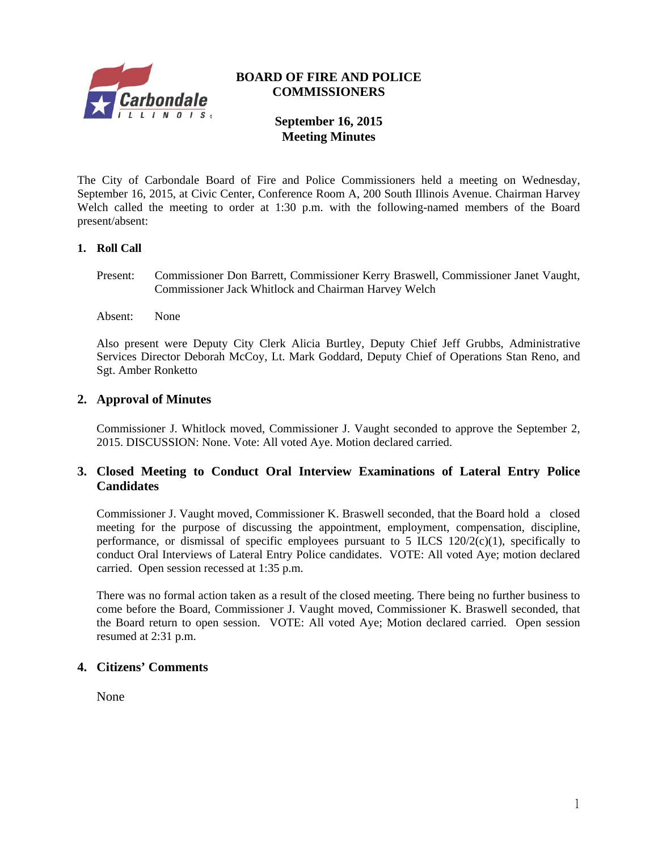

#### **BOARD OF FIRE AND POLICE COMMISSIONERS**

# **September 16, 2015 Meeting Minutes**

The City of Carbondale Board of Fire and Police Commissioners held a meeting on Wednesday, September 16, 2015, at Civic Center, Conference Room A, 200 South Illinois Avenue. Chairman Harvey Welch called the meeting to order at 1:30 p.m. with the following-named members of the Board present/absent:

#### **1. Roll Call**

- Present: Commissioner Don Barrett, Commissioner Kerry Braswell, Commissioner Janet Vaught, Commissioner Jack Whitlock and Chairman Harvey Welch
- Absent: None

Also present were Deputy City Clerk Alicia Burtley, Deputy Chief Jeff Grubbs, Administrative Services Director Deborah McCoy, Lt. Mark Goddard, Deputy Chief of Operations Stan Reno, and Sgt. Amber Ronketto

#### **2. Approval of Minutes**

Commissioner J. Whitlock moved, Commissioner J. Vaught seconded to approve the September 2, 2015. DISCUSSION: None. Vote: All voted Aye. Motion declared carried.

#### **3. Closed Meeting to Conduct Oral Interview Examinations of Lateral Entry Police Candidates**

 Commissioner J. Vaught moved, Commissioner K. Braswell seconded, that the Board hold a closed meeting for the purpose of discussing the appointment, employment, compensation, discipline, performance, or dismissal of specific employees pursuant to 5 ILCS  $120/2(c)(1)$ , specifically to conduct Oral Interviews of Lateral Entry Police candidates. VOTE: All voted Aye; motion declared carried. Open session recessed at 1:35 p.m.

There was no formal action taken as a result of the closed meeting. There being no further business to come before the Board, Commissioner J. Vaught moved, Commissioner K. Braswell seconded, that the Board return to open session. VOTE: All voted Aye; Motion declared carried. Open session resumed at 2:31 p.m.

#### **4. Citizens' Comments**

None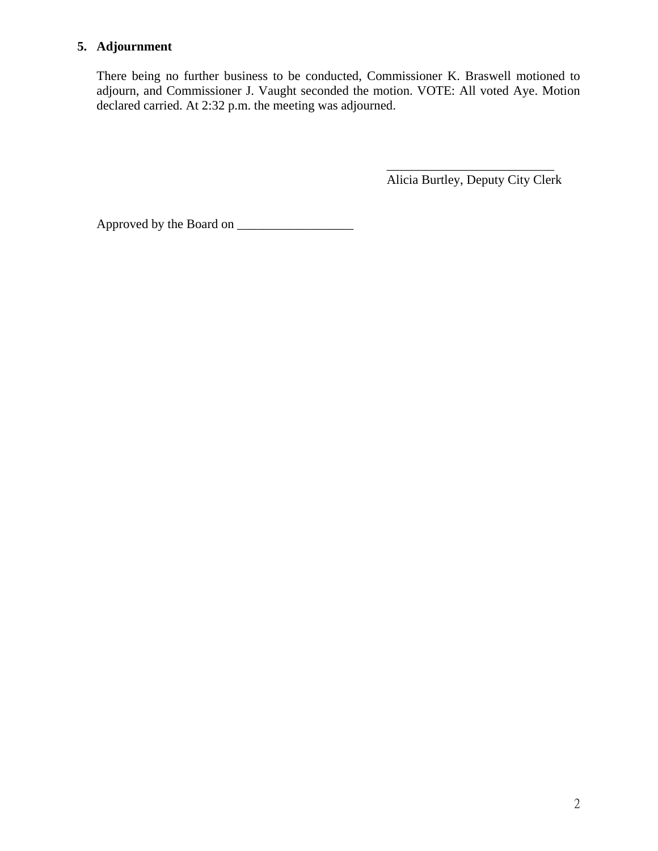# **5. Adjournment**

There being no further business to be conducted, Commissioner K. Braswell motioned to adjourn, and Commissioner J. Vaught seconded the motion. VOTE: All voted Aye. Motion declared carried. At 2:32 p.m. the meeting was adjourned.

 $\overline{\phantom{a}}$  , which is a set of the set of the set of the set of the set of the set of the set of the set of the set of the set of the set of the set of the set of the set of the set of the set of the set of the set of th

Alicia Burtley, Deputy City Clerk

Approved by the Board on \_\_\_\_\_\_\_\_\_\_\_\_\_\_\_\_\_\_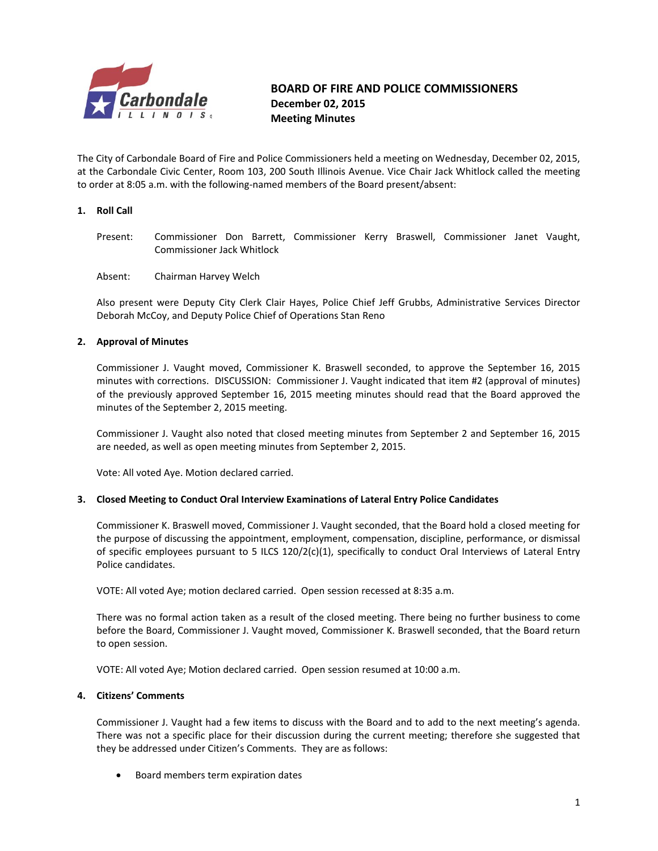

#### *Carhondale*<br>Carhondale **BOARD** OF FIRE AND POLICE COMMISSIONERS  **December 02, 2015 Meeting Minutes**

The City of Carbondale Board of Fire and Police Commissioners held a meeting on Wednesday, December 02, 2015, at the Carbondale Civic Center, Room 103, 200 South Illinois Avenue. Vice Chair Jack Whitlock called the meeting to order at 8:05 a.m. with the following‐named members of the Board present/absent:

#### **1. Roll Call**

- Present: Commissioner Don Barrett, Commissioner Kerry Braswell, Commissioner Janet Vaught, Commissioner Jack Whitlock
- Absent: Chairman Harvey Welch

Also present were Deputy City Clerk Clair Hayes, Police Chief Jeff Grubbs, Administrative Services Director Deborah McCoy, and Deputy Police Chief of Operations Stan Reno

#### **2. Approval of Minutes**

Commissioner J. Vaught moved, Commissioner K. Braswell seconded, to approve the September 16, 2015 minutes with corrections. DISCUSSION: Commissioner J. Vaught indicated that item #2 (approval of minutes) of the previously approved September 16, 2015 meeting minutes should read that the Board approved the minutes of the September 2, 2015 meeting.

Commissioner J. Vaught also noted that closed meeting minutes from September 2 and September 16, 2015 are needed, as well as open meeting minutes from September 2, 2015.

Vote: All voted Aye. Motion declared carried.

#### **3. Closed Meeting to Conduct Oral Interview Examinations of Lateral Entry Police Candidates**

Commissioner K. Braswell moved, Commissioner J. Vaught seconded, that the Board hold a closed meeting for the purpose of discussing the appointment, employment, compensation, discipline, performance, or dismissal of specific employees pursuant to 5 ILCS 120/2(c)(1), specifically to conduct Oral Interviews of Lateral Entry Police candidates.

VOTE: All voted Aye; motion declared carried. Open session recessed at 8:35 a.m.

There was no formal action taken as a result of the closed meeting. There being no further business to come before the Board, Commissioner J. Vaught moved, Commissioner K. Braswell seconded, that the Board return to open session.

VOTE: All voted Aye; Motion declared carried. Open session resumed at 10:00 a.m.

#### **4. Citizens' Comments**

Commissioner J. Vaught had a few items to discuss with the Board and to add to the next meeting's agenda. There was not a specific place for their discussion during the current meeting; therefore she suggested that they be addressed under Citizen's Comments. They are as follows:

• Board members term expiration dates